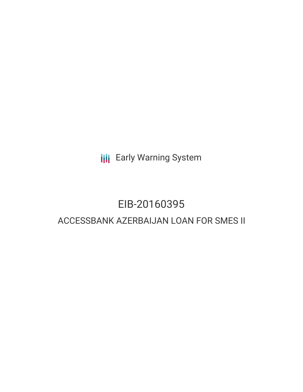**III** Early Warning System

# EIB-20160395

## ACCESSBANK AZERBAIJAN LOAN FOR SMES II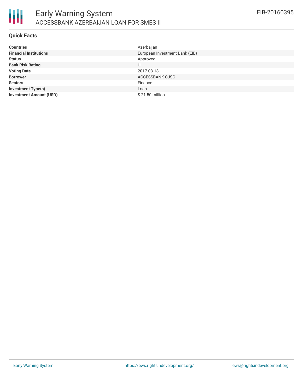

#### **Quick Facts**

| <b>Countries</b>               | Azerbaijan                     |
|--------------------------------|--------------------------------|
| <b>Financial Institutions</b>  | European Investment Bank (EIB) |
| <b>Status</b>                  | Approved                       |
| <b>Bank Risk Rating</b>        | U                              |
| <b>Voting Date</b>             | 2017-03-18                     |
| <b>Borrower</b>                | ACCESSBANK CJSC                |
| <b>Sectors</b>                 | Finance                        |
| <b>Investment Type(s)</b>      | Loan                           |
| <b>Investment Amount (USD)</b> | $$21.50$ million               |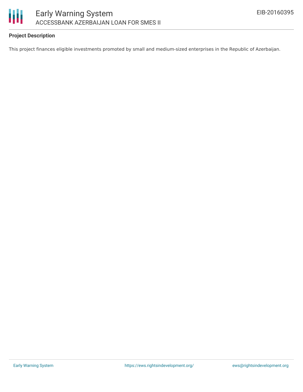

### **Project Description**

This project finances eligible investments promoted by small and medium-sized enterprises in the Republic of Azerbaijan.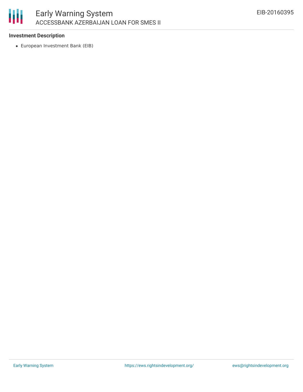

#### **Investment Description**

European Investment Bank (EIB)